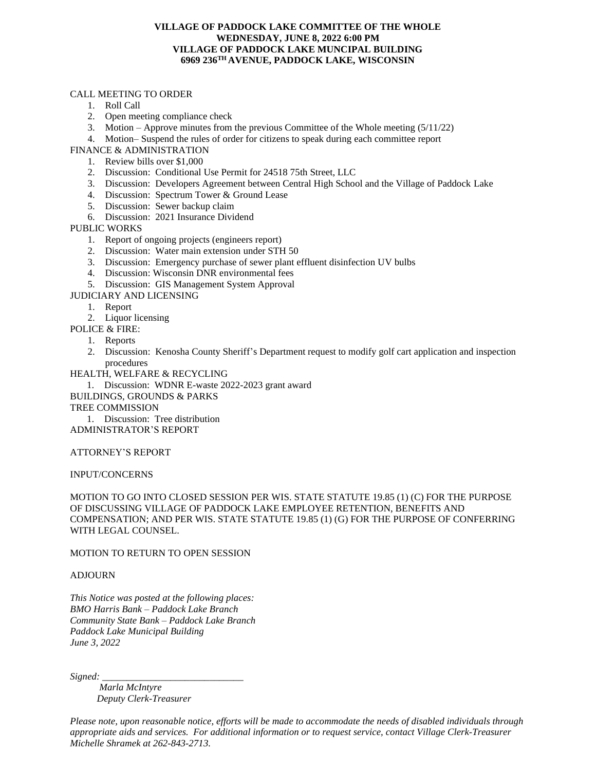## **VILLAGE OF PADDOCK LAKE COMMITTEE OF THE WHOLE WEDNESDAY, JUNE 8, 2022 6:00 PM VILLAGE OF PADDOCK LAKE MUNCIPAL BUILDING 6969 236TH AVENUE, PADDOCK LAKE, WISCONSIN**

## CALL MEETING TO ORDER

- 1. Roll Call
- 2. Open meeting compliance check
- 3. Motion Approve minutes from the previous Committee of the Whole meeting (5/11/22)
- 4. Motion– Suspend the rules of order for citizens to speak during each committee report

FINANCE & ADMINISTRATION

- 1. Review bills over \$1,000
- 2. Discussion: Conditional Use Permit for 24518 75th Street, LLC
- 3. Discussion: Developers Agreement between Central High School and the Village of Paddock Lake
- 4. Discussion: Spectrum Tower & Ground Lease
- 5. Discussion: Sewer backup claim
- 6. Discussion: 2021 Insurance Dividend

PUBLIC WORKS

- 1. Report of ongoing projects (engineers report)
- 2. Discussion: Water main extension under STH 50
- 3. Discussion: Emergency purchase of sewer plant effluent disinfection UV bulbs
- 4. Discussion: Wisconsin DNR environmental fees
- 5. Discussion: GIS Management System Approval

JUDICIARY AND LICENSING

- 1. Report
- 2. Liquor licensing
- POLICE & FIRE:
	- 1. Reports
	- 2. Discussion: Kenosha County Sheriff's Department request to modify golf cart application and inspection procedures

HEALTH, WELFARE & RECYCLING

1. Discussion: WDNR E-waste 2022-2023 grant award BUILDINGS, GROUNDS & PARKS

TREE COMMISSION

1. Discussion: Tree distribution ADMINISTRATOR'S REPORT

ATTORNEY'S REPORT

INPUT/CONCERNS

MOTION TO GO INTO CLOSED SESSION PER WIS. STATE STATUTE 19.85 (1) (C) FOR THE PURPOSE OF DISCUSSING VILLAGE OF PADDOCK LAKE EMPLOYEE RETENTION, BENEFITS AND COMPENSATION; AND PER WIS. STATE STATUTE 19.85 (1) (G) FOR THE PURPOSE OF CONFERRING WITH LEGAL COUNSEL.

MOTION TO RETURN TO OPEN SESSION

## ADJOURN

*This Notice was posted at the following places: BMO Harris Bank – Paddock Lake Branch Community State Bank – Paddock Lake Branch Paddock Lake Municipal Building June 3, 2022*

 $Signal:$ 

 *Marla McIntyre Deputy Clerk-Treasurer*

*Please note, upon reasonable notice, efforts will be made to accommodate the needs of disabled individuals through appropriate aids and services. For additional information or to request service, contact Village Clerk-Treasurer Michelle Shramek at 262-843-2713.*